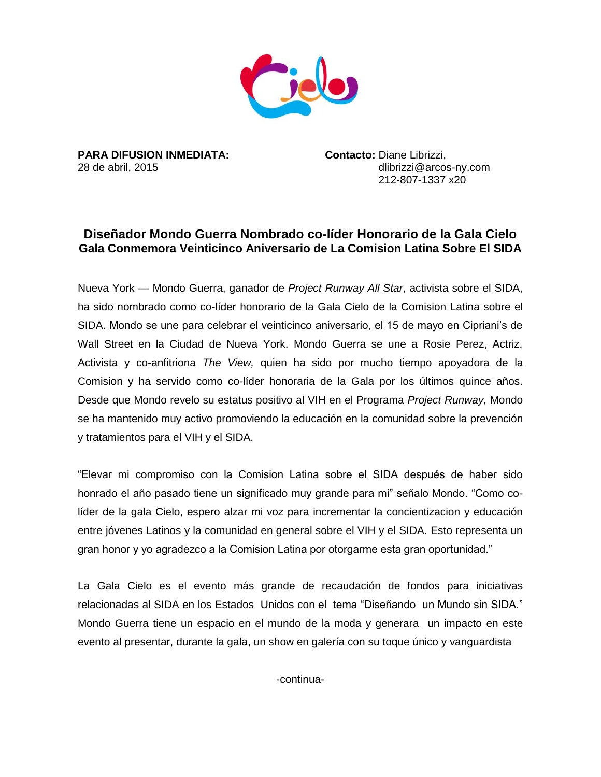

**PARA DIFUSION INMEDIATA: Contacto:** Diane Librizzi,

28 de abril, 2015 **dibrication and the abril, 2015** dibrication and dibrizzi@arcos-ny.com 212-807-1337 x20

## **Diseñador Mondo Guerra Nombrado co-líder Honorario de la Gala Cielo Gala Conmemora Veinticinco Aniversario de La Comision Latina Sobre El SIDA**

Nueva York — Mondo Guerra, ganador de *Project Runway All Star*, activista sobre el SIDA, ha sido nombrado como co-líder honorario de la Gala Cielo de la Comision Latina sobre el SIDA. Mondo se une para celebrar el veinticinco aniversario, el 15 de mayo en Cipriani's de Wall Street en la Ciudad de Nueva York. Mondo Guerra se une a Rosie Perez, Actriz, Activista y co-anfitriona *The View,* quien ha sido por mucho tiempo apoyadora de la Comision y ha servido como co-líder honoraria de la Gala por los últimos quince años. Desde que Mondo revelo su estatus positivo al VIH en el Programa *Project Runway,* Mondo se ha mantenido muy activo promoviendo la educación en la comunidad sobre la prevención y tratamientos para el VIH y el SIDA.

"Elevar mi compromiso con la Comision Latina sobre el SIDA después de haber sido honrado el año pasado tiene un significado muy grande para mi" señalo Mondo. "Como colíder de la gala Cielo, espero alzar mi voz para incrementar la concientizacion y educación entre jóvenes Latinos y la comunidad en general sobre el VIH y el SIDA. Esto representa un gran honor y yo agradezco a la Comision Latina por otorgarme esta gran oportunidad."

La Gala Cielo es el evento más grande de recaudación de fondos para iniciativas relacionadas al SIDA en los Estados Unidos con el tema "Diseñando un Mundo sin SIDA." Mondo Guerra tiene un espacio en el mundo de la moda y generara un impacto en este evento al presentar, durante la gala, un show en galería con su toque único y vanguardista

-continua-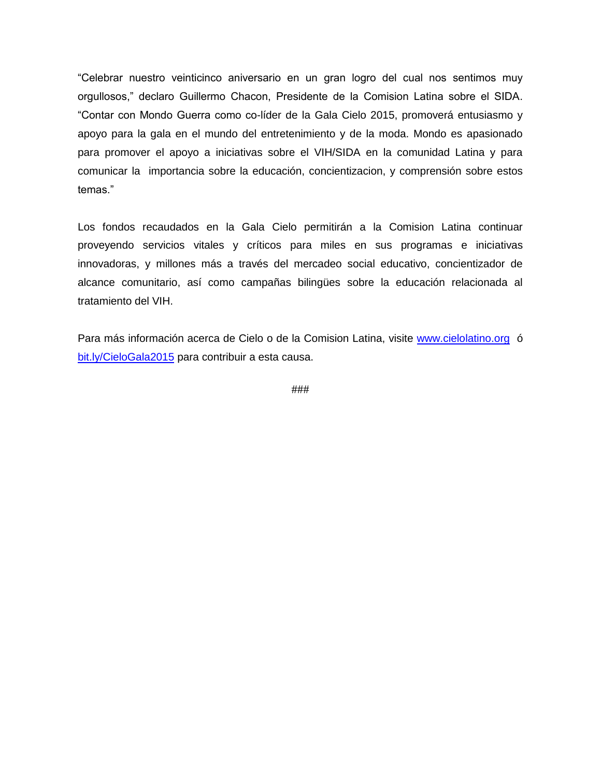"Celebrar nuestro veinticinco aniversario en un gran logro del cual nos sentimos muy orgullosos," declaro Guillermo Chacon, Presidente de la Comision Latina sobre el SIDA. "Contar con Mondo Guerra como co-líder de la Gala Cielo 2015, promoverá entusiasmo y apoyo para la gala en el mundo del entretenimiento y de la moda. Mondo es apasionado para promover el apoyo a iniciativas sobre el VIH/SIDA en la comunidad Latina y para comunicar la importancia sobre la educación, concientizacion, y comprensión sobre estos temas."

Los fondos recaudados en la Gala Cielo permitirán a la Comision Latina continuar proveyendo servicios vitales y críticos para miles en sus programas e iniciativas innovadoras, y millones más a través del mercadeo social educativo, concientizador de alcance comunitario, así como campañas bilingües sobre la educación relacionada al tratamiento del VIH.

Para más información acerca de Cielo o de la Comision Latina, visite [www.cielolatino.org](http://www.cielolatino.org/) ó [bit.ly/CieloGala2015](../../Mondo%20Release/bit.ly/CieloGala2015) para contribuir a esta causa.

###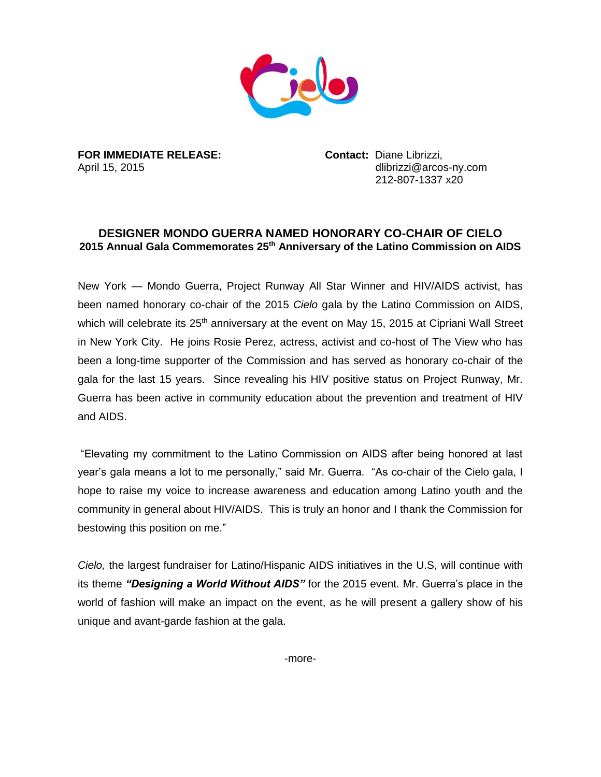

**FOR IMMEDIATE RELEASE: Contact:** Diane Librizzi,

April 15, 2015 **dibrizzi@arcos-ny.com** 212-807-1337 x20

## **DESIGNER MONDO GUERRA NAMED HONORARY CO-CHAIR OF CIELO 2015 Annual Gala Commemorates 25th Anniversary of the Latino Commission on AIDS**

New York — Mondo Guerra, Project Runway All Star Winner and HIV/AIDS activist, has been named honorary co-chair of the 2015 *Cielo* gala by the Latino Commission on AIDS, which will celebrate its 25<sup>th</sup> anniversary at the event on May 15, 2015 at Cipriani Wall Street in New York City. He joins Rosie Perez, actress, activist and co-host of The View who has been a long-time supporter of the Commission and has served as honorary co-chair of the gala for the last 15 years. Since revealing his HIV positive status on Project Runway, Mr. Guerra has been active in community education about the prevention and treatment of HIV and AIDS.

"Elevating my commitment to the Latino Commission on AIDS after being honored at last year's gala means a lot to me personally," said Mr. Guerra. "As co-chair of the Cielo gala, I hope to raise my voice to increase awareness and education among Latino youth and the community in general about HIV/AIDS. This is truly an honor and I thank the Commission for bestowing this position on me."

*Cielo,* the largest fundraiser for Latino/Hispanic AIDS initiatives in the U.S, will continue with its theme *"Designing a World Without AIDS"* for the 2015 event. Mr. Guerra's place in the world of fashion will make an impact on the event, as he will present a gallery show of his unique and avant-garde fashion at the gala.

-more-